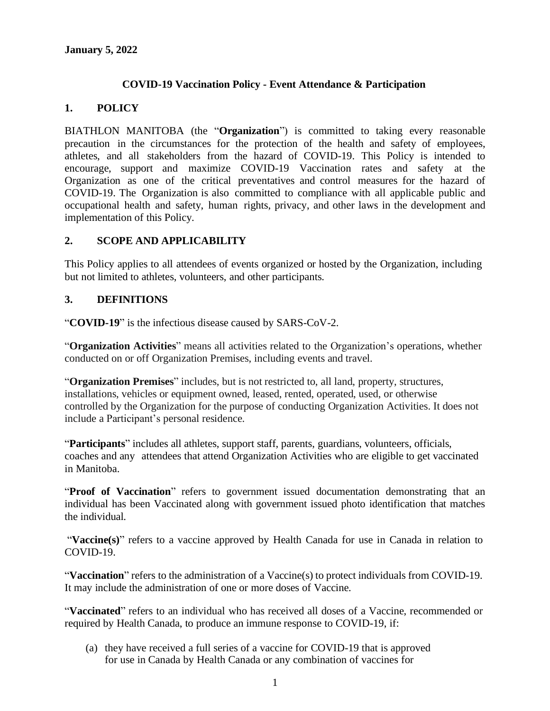#### **COVID-19 Vaccination Policy - Event Attendance & Participation**

#### **1. POLICY**

BIATHLON MANITOBA (the "**Organization**") is committed to taking every reasonable precaution in the circumstances for the protection of the health and safety of employees, athletes, and all stakeholders from the hazard of COVID-19. This Policy is intended to encourage, support and maximize COVID-19 Vaccination rates and safety at the Organization as one of the critical preventatives and control measures for the hazard of COVID-19. The Organization is also committed to compliance with all applicable public and occupational health and safety, human rights, privacy, and other laws in the development and implementation of this Policy.

#### **2. SCOPE AND APPLICABILITY**

This Policy applies to all attendees of events organized or hosted by the Organization, including but not limited to athletes, volunteers, and other participants.

#### **3. DEFINITIONS**

"**COVID-19**" is the infectious disease caused by SARS-CoV-2.

"**Organization Activities**" means all activities related to the Organization's operations, whether conducted on or off Organization Premises, including events and travel.

"**Organization Premises**" includes, but is not restricted to, all land, property, structures, installations, vehicles or equipment owned, leased, rented, operated, used, or otherwise controlled by the Organization for the purpose of conducting Organization Activities. It does not include a Participant's personal residence.

"**Participants**" includes all athletes, support staff, parents, guardians, volunteers, officials, coaches and any attendees that attend Organization Activities who are eligible to get vaccinated in Manitoba.

"**Proof of Vaccination**" refers to government issued documentation demonstrating that an individual has been Vaccinated along with government issued photo identification that matches the individual.

"**Vaccine(s)**" refers to a vaccine approved by Health Canada for use in Canada in relation to COVID-19.

"**Vaccination**" refers to the administration of a Vaccine(s) to protect individuals from COVID-19. It may include the administration of one or more doses of Vaccine.

"**Vaccinated**" refers to an individual who has received all doses of a Vaccine, recommended or required by Health Canada, to produce an immune response to COVID-19, if:

(a) they have received a full series of a vaccine for COVID-19 that is approved for use in Canada by Health Canada or any combination of vaccines for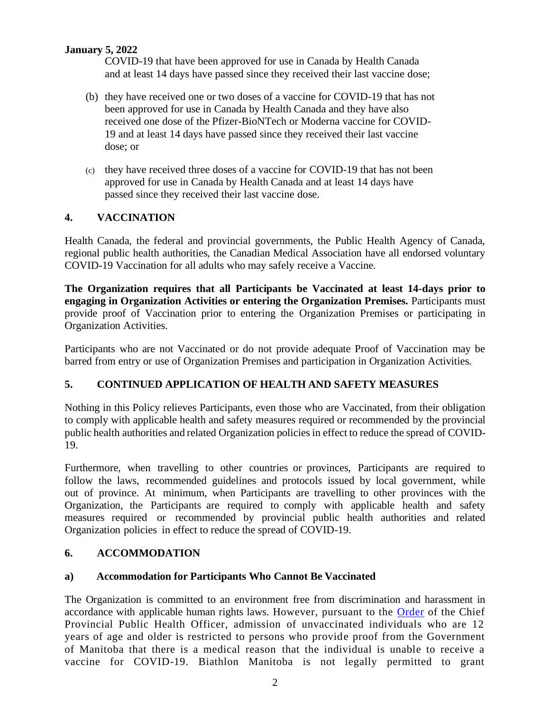## **January 5, 2022**

COVID-19 that have been approved for use in Canada by Health Canada and at least 14 days have passed since they received their last vaccine dose;

- (b) they have received one or two doses of a vaccine for COVID-19 that has not been approved for use in Canada by Health Canada and they have also received one dose of the Pfizer-BioNTech or Moderna vaccine for COVID-19 and at least 14 days have passed since they received their last vaccine dose; or
- (c) they have received three doses of a vaccine for COVID-19 that has not been approved for use in Canada by Health Canada and at least 14 days have passed since they received their last vaccine dose.

# **4. VACCINATION**

Health Canada, the federal and provincial governments, the Public Health Agency of Canada, regional public health authorities, the Canadian Medical Association have all endorsed voluntary COVID-19 Vaccination for all adults who may safely receive a Vaccine.

**The Organization requires that all Participants be Vaccinated at least 14-days prior to engaging in Organization Activities or entering the Organization Premises.** Participants must provide proof of Vaccination prior to entering the Organization Premises or participating in Organization Activities.

Participants who are not Vaccinated or do not provide adequate Proof of Vaccination may be barred from entry or use of Organization Premises and participation in Organization Activities.

# **5. CONTINUED APPLICATION OF HEALTH AND SAFETY MEASURES**

Nothing in this Policy relieves Participants, even those who are Vaccinated, from their obligation to comply with applicable health and safety measures required or recommended by the provincial public health authorities and related Organization policies in effect to reduce the spread of COVID-19.

Furthermore, when travelling to other countries or provinces, Participants are required to follow the laws, recommended guidelines and protocols issued by local government, while out of province. At minimum, when Participants are travelling to other provinces with the Organization, the Participants are required to comply with applicable health and safety measures required or recommended by provincial public health authorities and related Organization policies in effect to reduce the spread of COVID-19.

# **6. ACCOMMODATION**

### **a) Accommodation for Participants Who Cannot Be Vaccinated**

The Organization is committed to an environment free from discrimination and harassment in accordance with applicable human rights laws. However, pursuant to the **Order** of the Chief Provincial Public Health Officer, admission of unvaccinated individuals who are 12 years of age and older is restricted to persons who provide proof from the Government of Manitoba that there is a medical reason that the individual is unable to receive a vaccine for COVID-19. Biathlon Manitoba is not legally permitted to grant